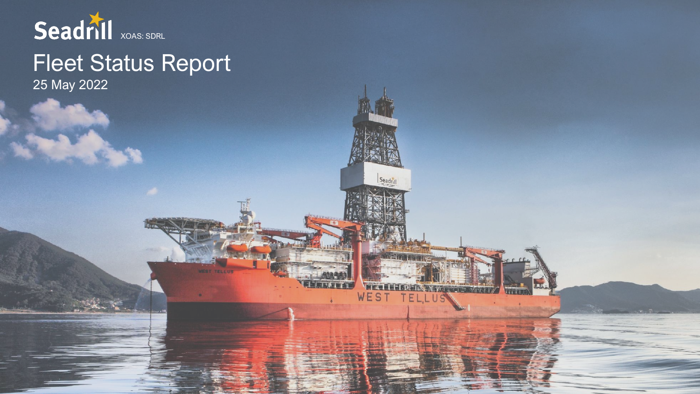

# Fleet Status Report 25 May 2022

Seadrill

WEST

TELLI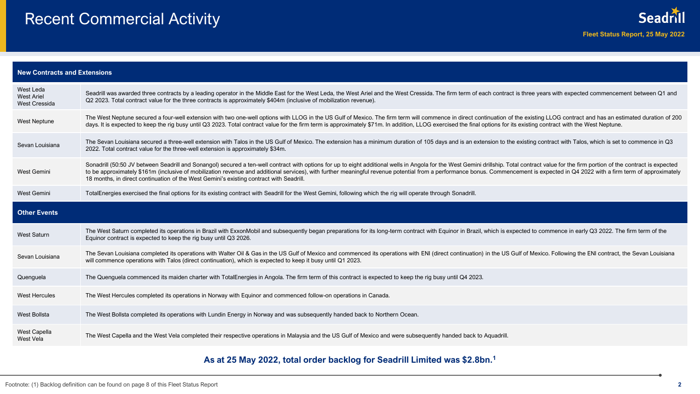| <b>New Contracts and Extensions</b>                    |                                                                                                                                                                                                                                                                                                                                                                                                                                                                                                                                                              |
|--------------------------------------------------------|--------------------------------------------------------------------------------------------------------------------------------------------------------------------------------------------------------------------------------------------------------------------------------------------------------------------------------------------------------------------------------------------------------------------------------------------------------------------------------------------------------------------------------------------------------------|
| West Leda<br><b>West Ariel</b><br><b>West Cressida</b> | Seadrill was awarded three contracts by a leading operator in the Middle East for the West Leda, the West Ariel and the West Cressida. The firm term of each contract is three years with expected commencement between Q1 and<br>Q2 2023. Total contract value for the three contracts is approximately \$404m (inclusive of mobilization revenue).                                                                                                                                                                                                         |
| <b>West Neptune</b>                                    | The West Neptune secured a four-well extension with two one-well options with LLOG in the US Gulf of Mexico. The firm term will commence in direct continuation of the existing LLOG contract and has an estimated duration of<br>days. It is expected to keep the rig busy until Q3 2023. Total contract value for the firm term is approximately \$71m. In addition, LLOG exercised the final options for its existing contract with the West Neptune.                                                                                                     |
| Sevan Louisiana                                        | The Sevan Louisiana secured a three-well extension with Talos in the US Gulf of Mexico. The extension has a minimum duration of 105 days and is an extension to the existing contract with Talos, which is set to commence in<br>2022. Total contract value for the three-well extension is approximately \$34m.                                                                                                                                                                                                                                             |
| West Gemini                                            | Sonadrill (50:50 JV between Seadrill and Sonangol) secured a ten-well contract with options for up to eight additional wells in Angola for the West Gemini drillship. Total contract value for the firm portion of the contrac<br>to be approximately \$161m (inclusive of mobilization revenue and additional services), with further meaningful revenue potential from a performance bonus. Commencement is expected in Q4 2022 with a firm term of approximate<br>18 months, in direct continuation of the West Gemini's existing contract with Seadrill. |
| West Gemini                                            | TotalEnergies exercised the final options for its existing contract with Seadrill for the West Gemini, following which the rig will operate through Sonadrill.                                                                                                                                                                                                                                                                                                                                                                                               |
|                                                        |                                                                                                                                                                                                                                                                                                                                                                                                                                                                                                                                                              |
| <b>Other Events</b>                                    |                                                                                                                                                                                                                                                                                                                                                                                                                                                                                                                                                              |
| <b>West Saturn</b>                                     | The West Saturn completed its operations in Brazil with ExxonMobil and subsequently began preparations for its long-term contract with Equinor in Brazil, which is expected to commence in early Q3 2022. The firm term of the<br>Equinor contract is expected to keep the rig busy until Q3 2026.                                                                                                                                                                                                                                                           |
| Sevan Louisiana                                        | The Sevan Louisiana completed its operations with Walter Oil & Gas in the US Gulf of Mexico and commenced its operations with ENI (direct continuation) in the US Gulf of Mexico. Following the ENI contract, the Sevan Louisi<br>will commence operations with Talos (direct continuation), which is expected to keep it busy until Q1 2023.                                                                                                                                                                                                                |
| Quenguela                                              | The Quenguela commenced its maiden charter with TotalEnergies in Angola. The firm term of this contract is expected to keep the rig busy until Q4 2023.                                                                                                                                                                                                                                                                                                                                                                                                      |
| West Hercules                                          | The West Hercules completed its operations in Norway with Equinor and commenced follow-on operations in Canada.                                                                                                                                                                                                                                                                                                                                                                                                                                              |
| <b>West Bollsta</b>                                    | The West Bollsta completed its operations with Lundin Energy in Norway and was subsequently handed back to Northern Ocean.                                                                                                                                                                                                                                                                                                                                                                                                                                   |

### **As at 25 May 2022, total order backlog for Seadrill Limited was \$2.8bn.<sup>1</sup>**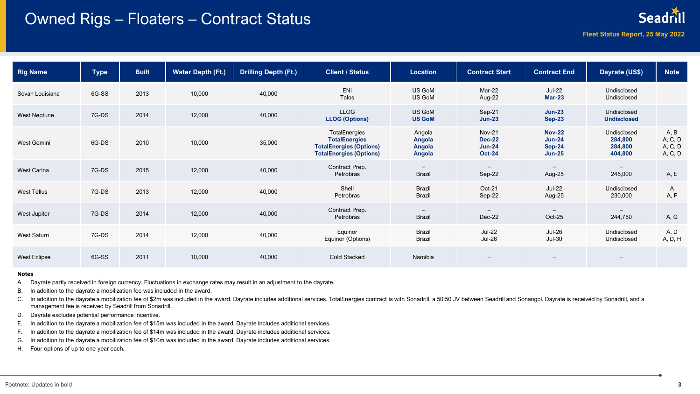### Owned Rigs – Floaters – Contract Status

| <b>Rig Name</b>     | <b>Type</b> | <b>Built</b> | <b>Water Depth (Ft.)</b> | Drilling Depth (Ft.) | <b>Client / Status</b>                                                                                    | Location                                  | <b>Contract Start</b>                                            | <b>Contract End</b>                                         | Dayrate (US\$)                               | <b>Note</b>                           |
|---------------------|-------------|--------------|--------------------------|----------------------|-----------------------------------------------------------------------------------------------------------|-------------------------------------------|------------------------------------------------------------------|-------------------------------------------------------------|----------------------------------------------|---------------------------------------|
| Sevan Louisiana     | 6G-SS       | 2013         | 10,000                   | 40,000               | ENI<br>Talos                                                                                              | <b>US GoM</b><br><b>US GoM</b>            | Mar-22<br>Aug-22                                                 | <b>Jul-22</b><br><b>Mar-23</b>                              | Undisclosed<br>Undisclosed                   |                                       |
| West Neptune        | 7G-DS       | 2014         | 12,000                   | 40,000               | <b>LLOG</b><br><b>LLOG (Options)</b>                                                                      | <b>US GoM</b><br><b>US GoM</b>            | Sep-21<br>$Jun-23$                                               | $Jun-23$<br><b>Sep-23</b>                                   | Undisclosed<br><b>Undisclosed</b>            |                                       |
| West Gemini         | 6G-DS       | 2010         | 10,000                   | 35,000               | TotalEnergies<br><b>TotalEnergies</b><br><b>TotalEnergies (Options)</b><br><b>TotalEnergies (Options)</b> | Angola<br>Angola<br>Angola<br>Angola      | <b>Nov-21</b><br><b>Dec-22</b><br><b>Jun-24</b><br><b>Oct-24</b> | <b>Nov-22</b><br><b>Jun-24</b><br><b>Sep-24</b><br>$Jun-25$ | Undisclosed<br>284,800<br>284,800<br>404,800 | A, B<br>A, C, D<br>A, C, D<br>A, C, D |
| <b>West Carina</b>  | 7G-DS       | 2015         | 12,000                   | 40,000               | Contract Prep.<br>Petrobras                                                                               | $\overline{\phantom{0}}$<br><b>Brazil</b> | Sep-22                                                           | $\qquad \qquad -$<br>Aug-25                                 | 245,000                                      | A, E                                  |
| <b>West Tellus</b>  | 7G-DS       | 2013         | 12,000                   | 40,000               | Shell<br>Petrobras                                                                                        | <b>Brazil</b><br><b>Brazil</b>            | Oct-21<br>Sep-22                                                 | <b>Jul-22</b><br>Aug-25                                     | Undisclosed<br>230,000                       | $\mathsf{A}$<br>A, F                  |
| West Jupiter        | 7G-DS       | 2014         | 12,000                   | 40,000               | Contract Prep.<br>Petrobras                                                                               | <b>Brazil</b>                             | $\overline{\phantom{m}}$<br>Dec-22                               | Oct-25                                                      | 244,750                                      | A, G                                  |
| West Saturn         | 7G-DS       | 2014         | 12,000                   | 40,000               | Equinor<br>Equinor (Options)                                                                              | <b>Brazil</b><br><b>Brazil</b>            | <b>Jul-22</b><br><b>Jul-26</b>                                   | <b>Jul-26</b><br>$Jul-30$                                   | Undisclosed<br>Undisclosed                   | A, D<br>A, D, H                       |
| <b>West Eclipse</b> | 6G-SS       | 2011         | 10,000                   | 40,000               | <b>Cold Stacked</b>                                                                                       | Namibia                                   | $\overline{\phantom{0}}$                                         |                                                             |                                              |                                       |

#### **Notes**

A. Dayrate partly received in foreign currency. Fluctuations in exchange rates may result in an adjustment to the dayrate.

B. In addition to the dayrate a mobilization fee was included in the award.

C. In addition to the dayrate a mobilization fee of \$2m was included in the award. Dayrate includes additional services. TotalEnergies contract is with Sonadrill, a 50:50 JV between Seadrill and Sonangol. Dayrate is receiv management fee is received by Seadrill from Sonadrill.

- D. Dayrate excludes potential performance incentive.
- E. In addition to the dayrate a mobilization fee of \$15m was included in the award. Dayrate includes additional services.
- F. In addition to the dayrate a mobilization fee of \$14m was included in the award. Dayrate includes additional services.
- G. In addition to the dayrate a mobilization fee of \$10m was included in the award. Dayrate includes additional services.
- H. Four options of up to one year each.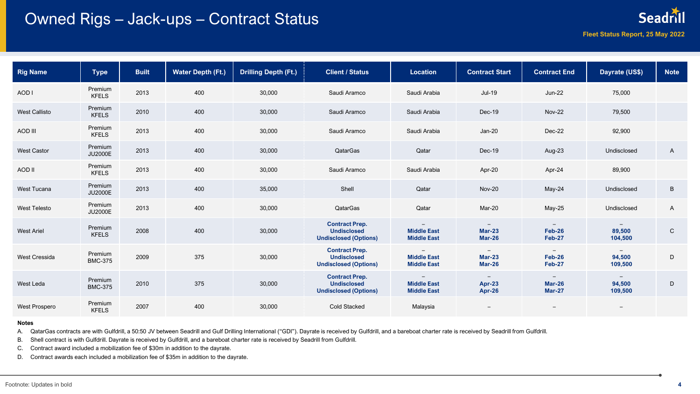## Owned Rigs – Jack-ups – Contract Status

| <b>Rig Name</b>      | <b>Type</b>               | <b>Built</b> | <b>Water Depth (Ft.)</b> | <b>Drilling Depth (Ft.)</b> | <b>Client / Status</b>                                                      | <b>Location</b>                                      | <b>Contract Start</b>                                 | <b>Contract End</b>                                        | Dayrate (US\$)           | <b>Note</b>     |
|----------------------|---------------------------|--------------|--------------------------|-----------------------------|-----------------------------------------------------------------------------|------------------------------------------------------|-------------------------------------------------------|------------------------------------------------------------|--------------------------|-----------------|
| AOD I                | Premium<br><b>KFELS</b>   | 2013         | 400                      | 30,000                      | Saudi Aramco                                                                | Saudi Arabia                                         | <b>Jul-19</b>                                         | <b>Jun-22</b>                                              | 75,000                   |                 |
| <b>West Callisto</b> | Premium<br><b>KFELS</b>   | 2010         | 400                      | 30,000                      | Saudi Aramco                                                                | Saudi Arabia                                         | $Dec-19$                                              | <b>Nov-22</b>                                              | 79,500                   |                 |
| AOD III              | Premium<br><b>KFELS</b>   | 2013         | 400                      | 30,000                      | Saudi Aramco                                                                | Saudi Arabia                                         | $Jan-20$                                              | Dec-22                                                     | 92,900                   |                 |
| <b>West Castor</b>   | Premium<br>JU2000E        | 2013         | 400                      | 30,000                      | QatarGas                                                                    | Qatar                                                | $Dec-19$                                              | Aug-23                                                     | Undisclosed              | A               |
| AOD II               | Premium<br><b>KFELS</b>   | 2013         | 400                      | 30,000                      | Saudi Aramco                                                                | Saudi Arabia                                         | Apr-20                                                | Apr-24                                                     | 89,900                   |                 |
| <b>West Tucana</b>   | Premium<br><b>JU2000E</b> | 2013         | 400                      | 35,000                      | Shell                                                                       | Qatar                                                | <b>Nov-20</b>                                         | May-24                                                     | Undisclosed              | $\, {\bf B} \,$ |
| <b>West Telesto</b>  | Premium<br><b>JU2000E</b> | 2013         | 400                      | 30,000                      | QatarGas                                                                    | Qatar                                                | Mar-20                                                | $May-25$                                                   | Undisclosed              | $\mathsf{A}$    |
| <b>West Ariel</b>    | Premium<br><b>KFELS</b>   | 2008         | 400                      | 30,000                      | <b>Contract Prep.</b><br><b>Undisclosed</b><br><b>Undisclosed (Options)</b> | <b>Middle East</b><br><b>Middle East</b>             | $\overline{\phantom{a}}$<br>$Mar-23$<br><b>Mar-26</b> | $-$<br>Feb-26<br>Feb-27                                    | 89,500<br>104,500        | $\mathsf{C}$    |
| <b>West Cressida</b> | Premium<br><b>BMC-375</b> | 2009         | 375                      | 30,000                      | <b>Contract Prep.</b><br><b>Undisclosed</b><br><b>Undisclosed (Options)</b> | <b>Middle East</b><br><b>Middle East</b>             | $\overline{\phantom{0}}$<br>$Mar-23$<br><b>Mar-26</b> | $\overline{\phantom{0}}$<br>Feb-26<br><b>Feb-27</b>        | 94,500<br>109,500        | D               |
| West Leda            | Premium<br><b>BMC-375</b> | 2010         | 375                      | 30,000                      | <b>Contract Prep.</b><br><b>Undisclosed</b><br><b>Undisclosed (Options)</b> | $\equiv$<br><b>Middle East</b><br><b>Middle East</b> | <b>Apr-23</b><br><b>Apr-26</b>                        | $\overline{\phantom{a}}$<br><b>Mar-26</b><br><b>Mar-27</b> | $-$<br>94,500<br>109,500 | D               |
| <b>West Prospero</b> | Premium<br><b>KFELS</b>   | 2007         | 400                      | 30,000                      | <b>Cold Stacked</b>                                                         | Malaysia                                             |                                                       |                                                            | $-$                      |                 |

#### **Notes**

A. QatarGas contracts are with Gulfdrill, a 50:50 JV between Seadrill and Gulf Drilling International ("GDI"). Dayrate is received by Gulfdrill, and a bareboat charter rate is received by Seadrill from Gulfdrill.

B. Shell contract is with Gulfdrill. Dayrate is received by Gulfdrill, and a bareboat charter rate is received by Seadrill from Gulfdrill.

C. Contract award included a mobilization fee of \$30m in addition to the dayrate.

D. Contract awards each included a mobilization fee of \$35m in addition to the dayrate.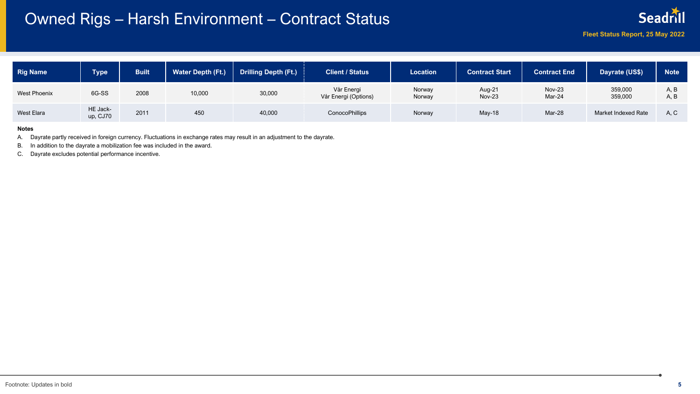## Owned Rigs – Harsh Environment – Contract Status



| <b>Rig Name</b>     | <b>Type</b>          | <b>Built</b> | <b>Water Depth (Ft.)</b> | <b>Drilling Depth (Ft.)</b> | <b>Client / Status</b>             | <b>Location</b>  | <b>Contract Start</b>   | <b>Contract End</b>     | Dayrate (US\$)      | <b>Note</b>  |
|---------------------|----------------------|--------------|--------------------------|-----------------------------|------------------------------------|------------------|-------------------------|-------------------------|---------------------|--------------|
| <b>West Phoenix</b> | 6G-SS                | 2008         | 10,000                   | 30,000                      | Vår Energi<br>Vår Energi (Options) | Norway<br>Norway | Aug-21<br><b>Nov-23</b> | <b>Nov-23</b><br>Mar-24 | 359,000<br>359,000  | A, B<br>A, B |
| West Elara          | HE Jack-<br>up, CJ70 | 2011         | 450                      | 40,000                      | ConocoPhillips                     | Norway           | $May-18$                | Mar-28                  | Market Indexed Rate | A. C         |

#### **Notes**

A. Dayrate partly received in foreign currency. Fluctuations in exchange rates may result in an adjustment to the dayrate.

B. In addition to the dayrate a mobilization fee was included in the award.

C. Dayrate excludes potential performance incentive.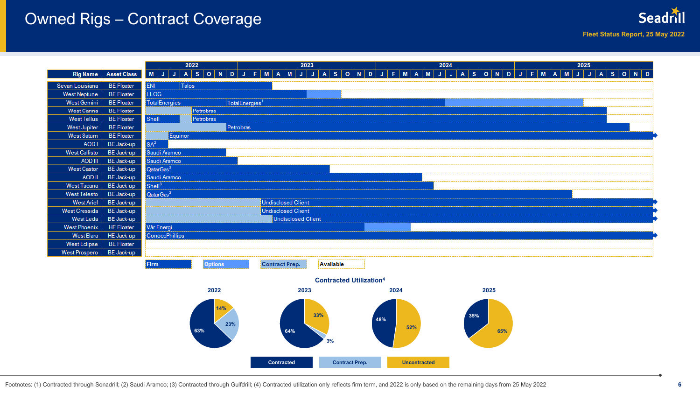### Owned Rigs – Contract Coverage





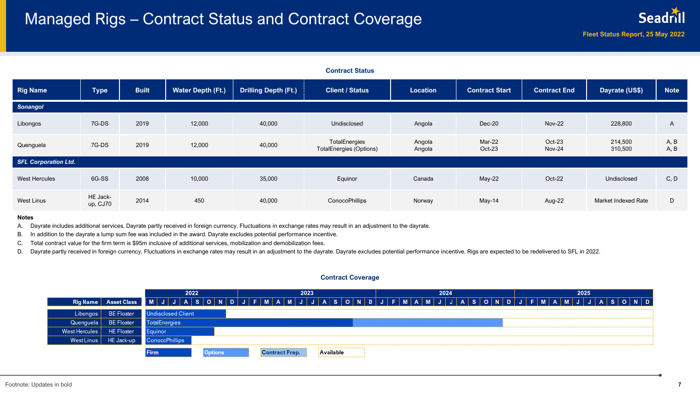### Managed Rigs – Contract Status and Contract Coverage

| <b>Contract Status</b>      |                      |              |                          |                             |                                                 |                  |                       |                         |                     |              |
|-----------------------------|----------------------|--------------|--------------------------|-----------------------------|-------------------------------------------------|------------------|-----------------------|-------------------------|---------------------|--------------|
| <b>Rig Name</b>             | <b>Type</b>          | <b>Built</b> | <b>Water Depth (Ft.)</b> | <b>Drilling Depth (Ft.)</b> | <b>Client / Status</b>                          | Location         | <b>Contract Start</b> | <b>Contract End</b>     | Dayrate (US\$)      | <b>Note</b>  |
| <b>Sonangol</b>             |                      |              |                          |                             |                                                 |                  |                       |                         |                     |              |
| Libongos                    | 7G-DS                | 2019         | 12,000                   | 40,000                      | Undisclosed                                     | Angola           | $Dec-20$              | <b>Nov-22</b>           | 228,800             | $\mathsf{A}$ |
| Quenguela                   | 7G-DS                | 2019         | 12,000                   | 40,000                      | TotalEnergies<br><b>TotalEnergies (Options)</b> | Angola<br>Angola | Mar-22<br>$Oct-23$    | Oct-23<br><b>Nov-24</b> | 214,500<br>310,500  | A, B<br>A, B |
| <b>SFL Corporation Ltd.</b> |                      |              |                          |                             |                                                 |                  |                       |                         |                     |              |
| <b>West Hercules</b>        | 6G-SS                | 2008         | 10,000                   | 35,000                      | Equinor                                         | Canada           | May-22                | Oct-22                  | Undisclosed         | C, D         |
| West Linus                  | HE Jack-<br>up, CJ70 | 2014         | 450                      | 40,000                      | ConocoPhillips                                  | Norway           | May-14                | Aug-22                  | Market Indexed Rate | D            |

#### **Notes**

A. Dayrate includes additional services. Dayrate partly received in foreign currency. Fluctuations in exchange rates may result in an adjustment to the dayrate.

B. In addition to the dayrate a lump sum fee was included in the award. Dayrate excludes potential performance incentive.

C. Total contract value for the firm term is \$95m inclusive of additional services, mobilization and demobilization fees.

D. Dayrate partly received in foreign currency. Fluctuations in exchange rates may result in an adjustment to the dayrate. Dayrate excludes potential performance incentive. Rigs are expected to be redelivered to SFL in 202

#### **Contract Coverage**